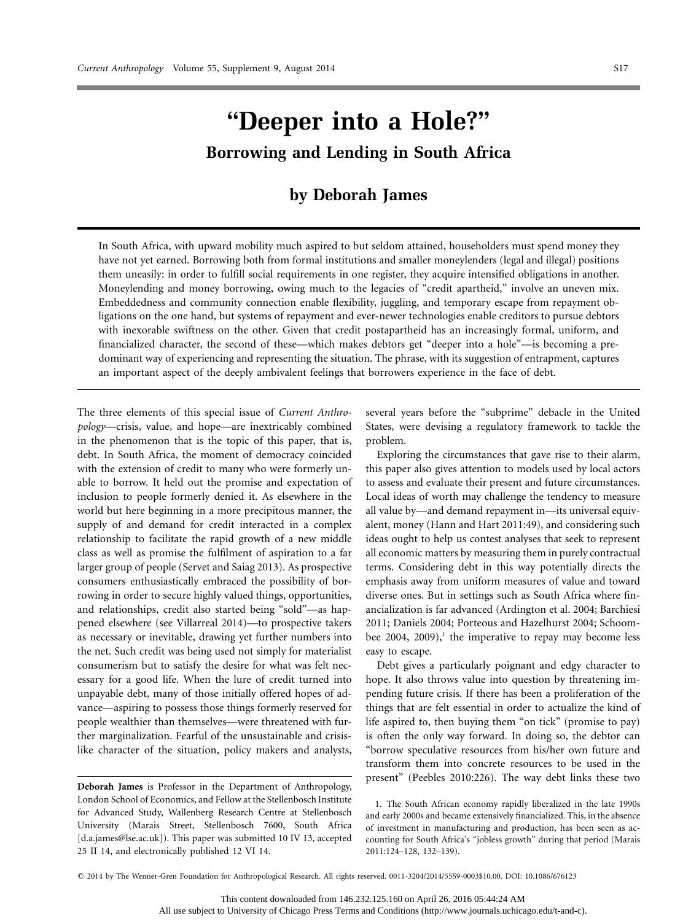# **"Deeper into a Hole?"**

**Borrowing and Lending in South Africa**

# **by Deborah James**

In South Africa, with upward mobility much aspired to but seldom attained, householders must spend money they have not yet earned. Borrowing both from formal institutions and smaller moneylenders (legal and illegal) positions them uneasily: in order to fulfill social requirements in one register, they acquire intensified obligations in another. Moneylending and money borrowing, owing much to the legacies of "credit apartheid," involve an uneven mix. Embeddedness and community connection enable flexibility, juggling, and temporary escape from repayment obligations on the one hand, but systems of repayment and ever-newer technologies enable creditors to pursue debtors with inexorable swiftness on the other. Given that credit postapartheid has an increasingly formal, uniform, and financialized character, the second of these—which makes debtors get "deeper into a hole"—is becoming a predominant way of experiencing and representing the situation. The phrase, with its suggestion of entrapment, captures an important aspect of the deeply ambivalent feelings that borrowers experience in the face of debt.

The three elements of this special issue of *Current Anthropology*—crisis, value, and hope—are inextricably combined in the phenomenon that is the topic of this paper, that is, debt. In South Africa, the moment of democracy coincided with the extension of credit to many who were formerly unable to borrow. It held out the promise and expectation of inclusion to people formerly denied it. As elsewhere in the world but here beginning in a more precipitous manner, the supply of and demand for credit interacted in a complex relationship to facilitate the rapid growth of a new middle class as well as promise the fulfilment of aspiration to a far larger group of people (Servet and Saiag 2013). As prospective consumers enthusiastically embraced the possibility of borrowing in order to secure highly valued things, opportunities, and relationships, credit also started being "sold"—as happened elsewhere (see Villarreal 2014)—to prospective takers as necessary or inevitable, drawing yet further numbers into the net. Such credit was being used not simply for materialist consumerism but to satisfy the desire for what was felt necessary for a good life. When the lure of credit turned into unpayable debt, many of those initially offered hopes of advance—aspiring to possess those things formerly reserved for people wealthier than themselves—were threatened with further marginalization. Fearful of the unsustainable and crisislike character of the situation, policy makers and analysts,

**Deborah James** is Professor in the Department of Anthropology, London School of Economics, and Fellow at the Stellenbosch Institute for Advanced Study, Wallenberg Research Centre at Stellenbosch University (Marais Street, Stellenbosch 7600, South Africa [\[d.a.james@lse.ac.uk\]](mailto:d.a.james@lse.ac.uk)). This paper was submitted 10 IV 13, accepted 25 II 14, and electronically published 12 VI 14.

several years before the "subprime" debacle in the United States, were devising a regulatory framework to tackle the problem.

Exploring the circumstances that gave rise to their alarm, this paper also gives attention to models used by local actors to assess and evaluate their present and future circumstances. Local ideas of worth may challenge the tendency to measure all value by—and demand repayment in—its universal equivalent, money (Hann and Hart 2011:49), and considering such ideas ought to help us contest analyses that seek to represent all economic matters by measuring them in purely contractual terms. Considering debt in this way potentially directs the emphasis away from uniform measures of value and toward diverse ones. But in settings such as South Africa where financialization is far advanced (Ardington et al. 2004; Barchiesi 2011; Daniels 2004; Porteous and Hazelhurst 2004; Schoombee 2004, 2009), $^1$  the imperative to repay may become less easy to escape.

Debt gives a particularly poignant and edgy character to hope. It also throws value into question by threatening impending future crisis. If there has been a proliferation of the things that are felt essential in order to actualize the kind of life aspired to, then buying them "on tick" (promise to pay) is often the only way forward. In doing so, the debtor can "borrow speculative resources from his/her own future and transform them into concrete resources to be used in the present" (Peebles 2010:226). The way debt links these two

1. The South African economy rapidly liberalized in the late 1990s and early 2000s and became extensively financialized. This, in the absence of investment in manufacturing and production, has been seen as accounting for South Africa's "jobless growth" during that period (Marais 2011:124–128, 132–139).

- 2014 by The Wenner-Gren Foundation for Anthropological Research. All rights reserved. 0011-3204/2014/55S9-0003\$10.00. DOI: 10.1086/676123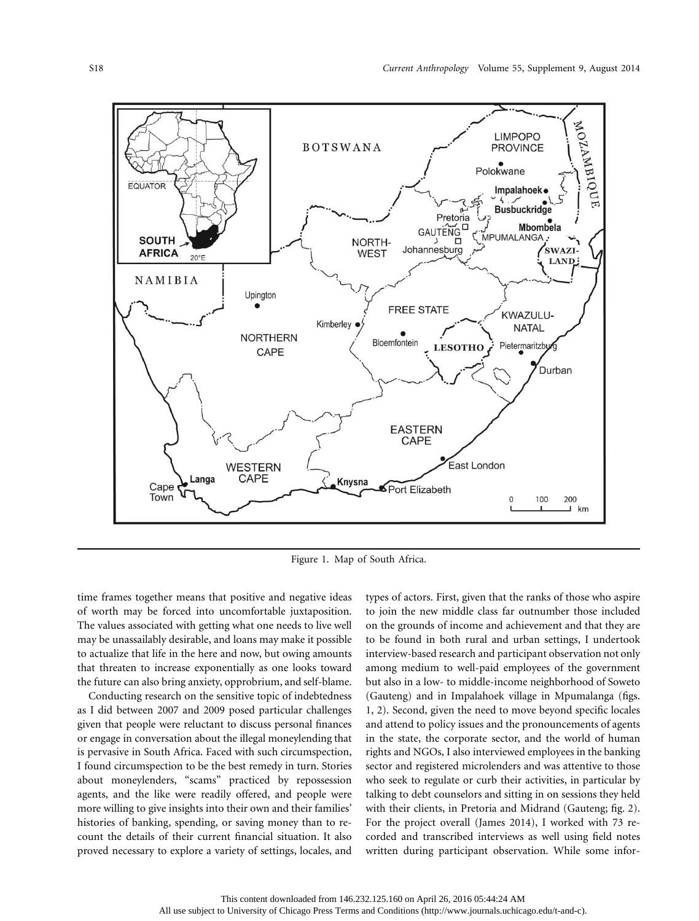

Figure 1. Map of South Africa.

time frames together means that positive and negative ideas of worth may be forced into uncomfortable juxtaposition. The values associated with getting what one needs to live well may be unassailably desirable, and loans may make it possible to actualize that life in the here and now, but owing amounts that threaten to increase exponentially as one looks toward the future can also bring anxiety, opprobrium, and self-blame.

Conducting research on the sensitive topic of indebtedness as I did between 2007 and 2009 posed particular challenges given that people were reluctant to discuss personal finances or engage in conversation about the illegal moneylending that is pervasive in South Africa. Faced with such circumspection, I found circumspection to be the best remedy in turn. Stories about moneylenders, "scams" practiced by repossession agents, and the like were readily offered, and people were more willing to give insights into their own and their families' histories of banking, spending, or saving money than to recount the details of their current financial situation. It also proved necessary to explore a variety of settings, locales, and types of actors. First, given that the ranks of those who aspire to join the new middle class far outnumber those included on the grounds of income and achievement and that they are to be found in both rural and urban settings, I undertook interview-based research and participant observation not only among medium to well-paid employees of the government but also in a low- to middle-income neighborhood of Soweto (Gauteng) and in Impalahoek village in Mpumalanga (figs. 1, 2). Second, given the need to move beyond specific locales and attend to policy issues and the pronouncements of agents in the state, the corporate sector, and the world of human rights and NGOs, I also interviewed employees in the banking sector and registered microlenders and was attentive to those who seek to regulate or curb their activities, in particular by talking to debt counselors and sitting in on sessions they held with their clients, in Pretoria and Midrand (Gauteng; fig. 2). For the project overall (James 2014), I worked with 73 recorded and transcribed interviews as well using field notes written during participant observation. While some infor-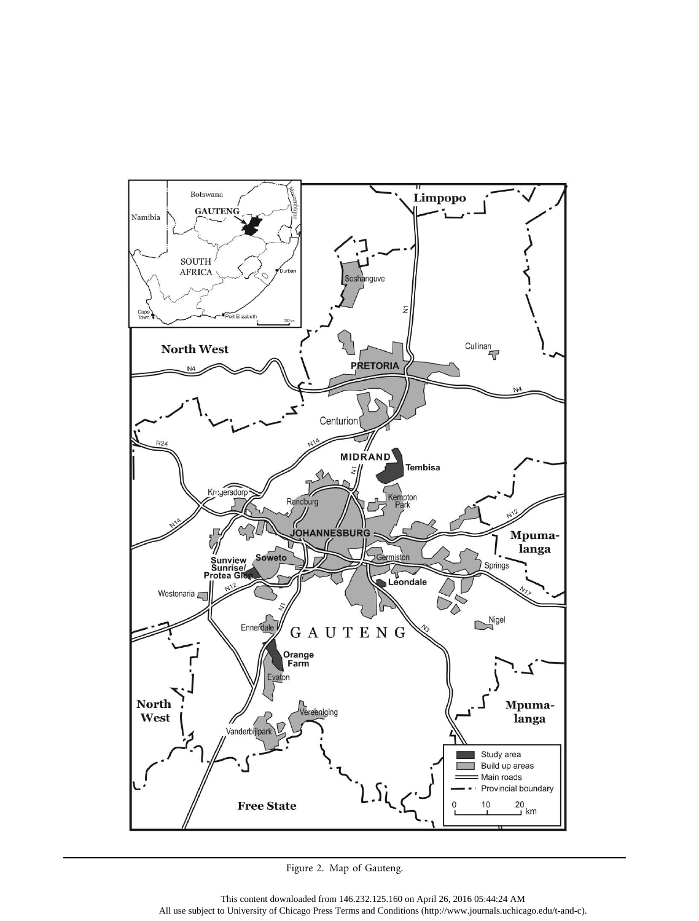

Figure 2. Map of Gauteng.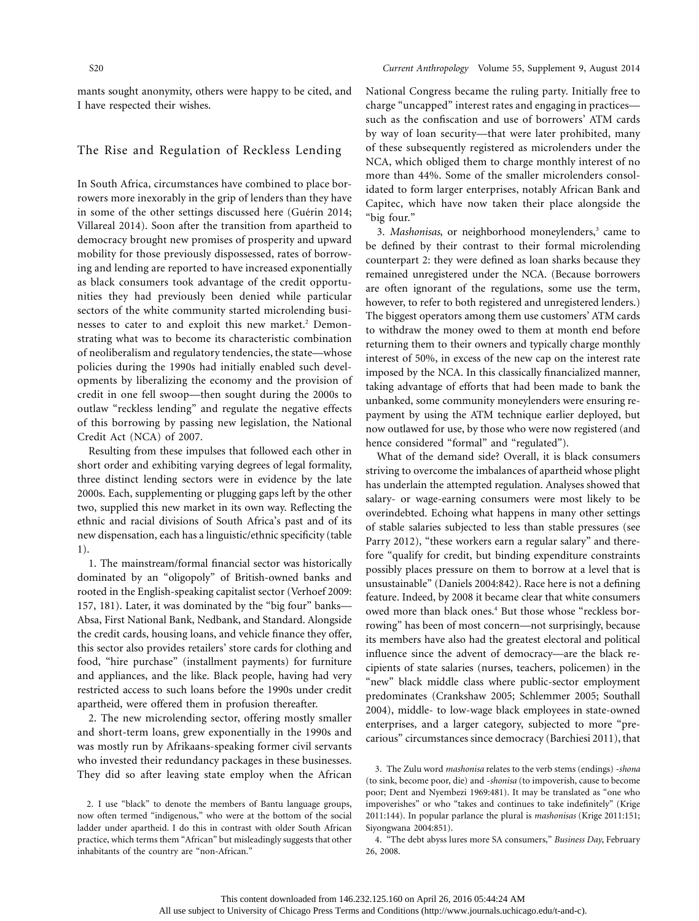mants sought anonymity, others were happy to be cited, and I have respected their wishes.

### The Rise and Regulation of Reckless Lending

In South Africa, circumstances have combined to place borrowers more inexorably in the grip of lenders than they have in some of the other settings discussed here (Guérin 2014; Villareal 2014). Soon after the transition from apartheid to democracy brought new promises of prosperity and upward mobility for those previously dispossessed, rates of borrowing and lending are reported to have increased exponentially as black consumers took advantage of the credit opportunities they had previously been denied while particular sectors of the white community started microlending businesses to cater to and exploit this new market.<sup>2</sup> Demonstrating what was to become its characteristic combination of neoliberalism and regulatory tendencies, the state—whose policies during the 1990s had initially enabled such developments by liberalizing the economy and the provision of credit in one fell swoop—then sought during the 2000s to outlaw "reckless lending" and regulate the negative effects of this borrowing by passing new legislation, the National Credit Act (NCA) of 2007.

Resulting from these impulses that followed each other in short order and exhibiting varying degrees of legal formality, three distinct lending sectors were in evidence by the late 2000s. Each, supplementing or plugging gaps left by the other two, supplied this new market in its own way. Reflecting the ethnic and racial divisions of South Africa's past and of its new dispensation, each has a linguistic/ethnic specificity (table 1).

1. The mainstream/formal financial sector was historically dominated by an "oligopoly" of British-owned banks and rooted in the English-speaking capitalist sector (Verhoef 2009: 157, 181). Later, it was dominated by the "big four" banks— Absa, First National Bank, Nedbank, and Standard. Alongside the credit cards, housing loans, and vehicle finance they offer, this sector also provides retailers' store cards for clothing and food, "hire purchase" (installment payments) for furniture and appliances, and the like. Black people, having had very restricted access to such loans before the 1990s under credit apartheid, were offered them in profusion thereafter.

2. The new microlending sector, offering mostly smaller and short-term loans, grew exponentially in the 1990s and was mostly run by Afrikaans-speaking former civil servants who invested their redundancy packages in these businesses. They did so after leaving state employ when the African National Congress became the ruling party. Initially free to charge "uncapped" interest rates and engaging in practices such as the confiscation and use of borrowers' ATM cards by way of loan security—that were later prohibited, many of these subsequently registered as microlenders under the NCA, which obliged them to charge monthly interest of no more than 44%. Some of the smaller microlenders consolidated to form larger enterprises, notably African Bank and Capitec, which have now taken their place alongside the "big four."

3. *Mashonisas*, or neighborhood moneylenders,<sup>3</sup> came to be defined by their contrast to their formal microlending counterpart 2: they were defined as loan sharks because they remained unregistered under the NCA. (Because borrowers are often ignorant of the regulations, some use the term, however, to refer to both registered and unregistered lenders.) The biggest operators among them use customers' ATM cards to withdraw the money owed to them at month end before returning them to their owners and typically charge monthly interest of 50%, in excess of the new cap on the interest rate imposed by the NCA. In this classically financialized manner, taking advantage of efforts that had been made to bank the unbanked, some community moneylenders were ensuring repayment by using the ATM technique earlier deployed, but now outlawed for use, by those who were now registered (and hence considered "formal" and "regulated").

What of the demand side? Overall, it is black consumers striving to overcome the imbalances of apartheid whose plight has underlain the attempted regulation. Analyses showed that salary- or wage-earning consumers were most likely to be overindebted. Echoing what happens in many other settings of stable salaries subjected to less than stable pressures (see Parry 2012), "these workers earn a regular salary" and therefore "qualify for credit, but binding expenditure constraints possibly places pressure on them to borrow at a level that is unsustainable" (Daniels 2004:842). Race here is not a defining feature. Indeed, by 2008 it became clear that white consumers owed more than black ones.<sup>4</sup> But those whose "reckless borrowing" has been of most concern—not surprisingly, because its members have also had the greatest electoral and political influence since the advent of democracy—are the black recipients of state salaries (nurses, teachers, policemen) in the "new" black middle class where public-sector employment predominates (Crankshaw 2005; Schlemmer 2005; Southall 2004), middle- to low-wage black employees in state-owned enterprises, and a larger category, subjected to more "precarious" circumstances since democracy (Barchiesi 2011), that

<sup>2.</sup> I use "black" to denote the members of Bantu language groups, now often termed "indigenous," who were at the bottom of the social ladder under apartheid. I do this in contrast with older South African practice, which terms them "African" but misleadingly suggests that other inhabitants of the country are "non-African."

<sup>3.</sup> The Zulu word *mashonisa* relates to the verb stems (endings) *-shona* (to sink, become poor, die) and *-shonisa* (to impoverish, cause to become poor; Dent and Nyembezi 1969:481). It may be translated as "one who impoverishes" or who "takes and continues to take indefinitely" (Krige 2011:144). In popular parlance the plural is *mashonisas* (Krige 2011:151; Siyongwana 2004:851).

<sup>4. &</sup>quot;The debt abyss lures more SA consumers," *Business Day*, February 26, 2008.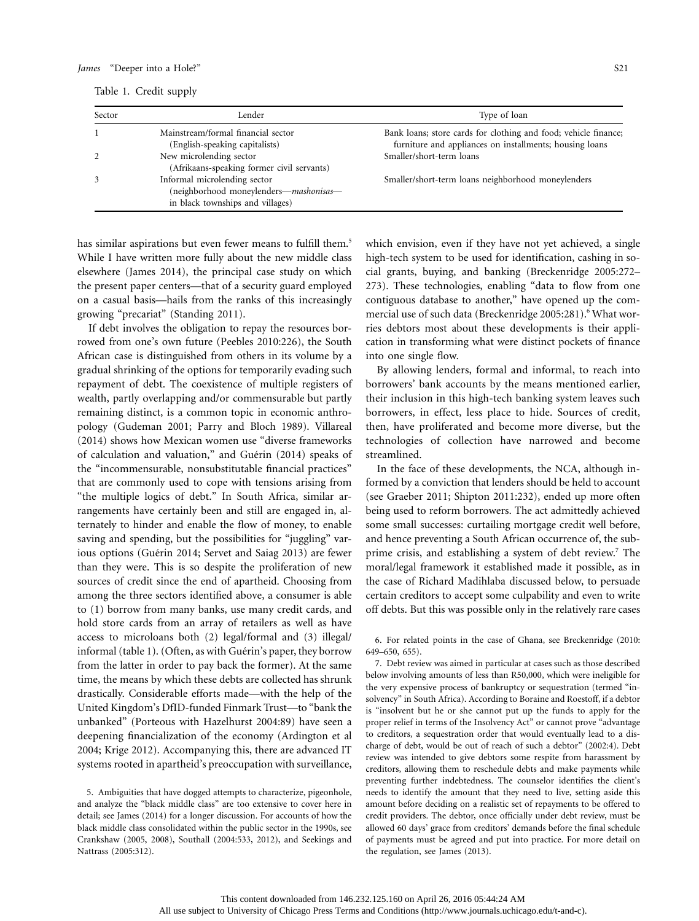|  |  | Table 1. Credit supply |  |  |
|--|--|------------------------|--|--|
|--|--|------------------------|--|--|

| Sector | Lender                                                                                                     | Type of loan                                                                                                               |
|--------|------------------------------------------------------------------------------------------------------------|----------------------------------------------------------------------------------------------------------------------------|
|        | Mainstream/formal financial sector<br>(English-speaking capitalists)                                       | Bank loans; store cards for clothing and food; vehicle finance;<br>furniture and appliances on installments; housing loans |
|        | New microlending sector<br>(Afrikaans-speaking former civil servants)                                      | Smaller/short-term loans                                                                                                   |
|        | Informal microlending sector<br>(neighborhood moneylenders-mashonisas-<br>in black townships and villages) | Smaller/short-term loans neighborhood moneylenders                                                                         |

has similar aspirations but even fewer means to fulfill them.<sup>5</sup> While I have written more fully about the new middle class elsewhere (James 2014), the principal case study on which the present paper centers—that of a security guard employed on a casual basis—hails from the ranks of this increasingly growing "precariat" (Standing 2011).

If debt involves the obligation to repay the resources borrowed from one's own future (Peebles 2010:226), the South African case is distinguished from others in its volume by a gradual shrinking of the options for temporarily evading such repayment of debt. The coexistence of multiple registers of wealth, partly overlapping and/or commensurable but partly remaining distinct, is a common topic in economic anthropology (Gudeman 2001; Parry and Bloch 1989). Villareal (2014) shows how Mexican women use "diverse frameworks of calculation and valuation," and Guérin (2014) speaks of the "incommensurable, nonsubstitutable financial practices" that are commonly used to cope with tensions arising from "the multiple logics of debt." In South Africa, similar arrangements have certainly been and still are engaged in, alternately to hinder and enable the flow of money, to enable saving and spending, but the possibilities for "juggling" various options (Guérin 2014; Servet and Saiag 2013) are fewer than they were. This is so despite the proliferation of new sources of credit since the end of apartheid. Choosing from among the three sectors identified above, a consumer is able to (1) borrow from many banks, use many credit cards, and hold store cards from an array of retailers as well as have access to microloans both (2) legal/formal and (3) illegal/ informal (table 1). (Often, as with Guérin's paper, they borrow from the latter in order to pay back the former). At the same time, the means by which these debts are collected has shrunk drastically. Considerable efforts made—with the help of the United Kingdom's DfID-funded Finmark Trust—to "bank the unbanked" (Porteous with Hazelhurst 2004:89) have seen a deepening financialization of the economy (Ardington et al 2004; Krige 2012). Accompanying this, there are advanced IT systems rooted in apartheid's preoccupation with surveillance,

5. Ambiguities that have dogged attempts to characterize, pigeonhole, and analyze the "black middle class" are too extensive to cover here in detail; see James (2014) for a longer discussion. For accounts of how the black middle class consolidated within the public sector in the 1990s, see Crankshaw (2005, 2008), Southall (2004:533, 2012), and Seekings and Nattrass (2005:312).

which envision, even if they have not yet achieved, a single high-tech system to be used for identification, cashing in social grants, buying, and banking (Breckenridge 2005:272– 273). These technologies, enabling "data to flow from one contiguous database to another," have opened up the commercial use of such data (Breckenridge 2005:281).<sup>6</sup> What worries debtors most about these developments is their application in transforming what were distinct pockets of finance into one single flow.

By allowing lenders, formal and informal, to reach into borrowers' bank accounts by the means mentioned earlier, their inclusion in this high-tech banking system leaves such borrowers, in effect, less place to hide. Sources of credit, then, have proliferated and become more diverse, but the technologies of collection have narrowed and become streamlined.

In the face of these developments, the NCA, although informed by a conviction that lenders should be held to account (see Graeber 2011; Shipton 2011:232), ended up more often being used to reform borrowers. The act admittedly achieved some small successes: curtailing mortgage credit well before, and hence preventing a South African occurrence of, the subprime crisis, and establishing a system of debt review.<sup>7</sup> The moral/legal framework it established made it possible, as in the case of Richard Madihlaba discussed below, to persuade certain creditors to accept some culpability and even to write off debts. But this was possible only in the relatively rare cases

6. For related points in the case of Ghana, see Breckenridge (2010: 649–650, 655).

7. Debt review was aimed in particular at cases such as those described below involving amounts of less than R50,000, which were ineligible for the very expensive process of bankruptcy or sequestration (termed "insolvency" in South Africa). According to Boraine and Roestoff, if a debtor is "insolvent but he or she cannot put up the funds to apply for the proper relief in terms of the Insolvency Act" or cannot prove "advantage to creditors, a sequestration order that would eventually lead to a discharge of debt, would be out of reach of such a debtor" (2002:4). Debt review was intended to give debtors some respite from harassment by creditors, allowing them to reschedule debts and make payments while preventing further indebtedness. The counselor identifies the client's needs to identify the amount that they need to live, setting aside this amount before deciding on a realistic set of repayments to be offered to credit providers. The debtor, once officially under debt review, must be allowed 60 days' grace from creditors' demands before the final schedule of payments must be agreed and put into practice. For more detail on the regulation, see James (2013).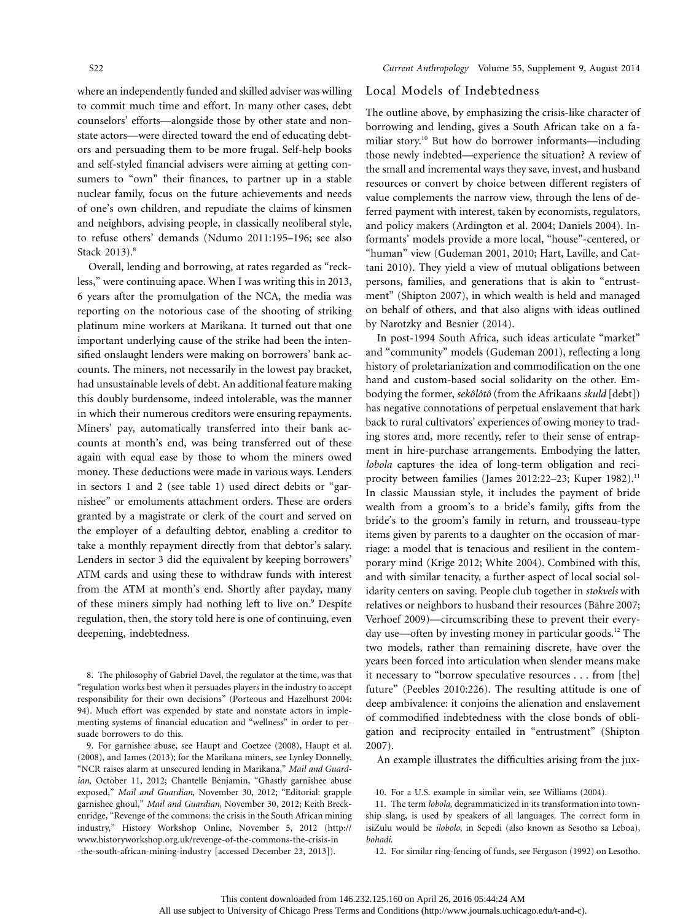S22 *Current Anthropology* Volume 55, Supplement 9, August 2014

where an independently funded and skilled adviser was willing to commit much time and effort. In many other cases, debt counselors' efforts—alongside those by other state and nonstate actors—were directed toward the end of educating debtors and persuading them to be more frugal. Self-help books and self-styled financial advisers were aiming at getting consumers to "own" their finances, to partner up in a stable nuclear family, focus on the future achievements and needs of one's own children, and repudiate the claims of kinsmen and neighbors, advising people, in classically neoliberal style, to refuse others' demands (Ndumo 2011:195–196; see also Stack 2013).<sup>8</sup>

Overall, lending and borrowing, at rates regarded as "reckless," were continuing apace. When I was writing this in 2013, 6 years after the promulgation of the NCA, the media was reporting on the notorious case of the shooting of striking platinum mine workers at Marikana. It turned out that one important underlying cause of the strike had been the intensified onslaught lenders were making on borrowers' bank accounts. The miners, not necessarily in the lowest pay bracket, had unsustainable levels of debt. An additional feature making this doubly burdensome, indeed intolerable, was the manner in which their numerous creditors were ensuring repayments. Miners' pay, automatically transferred into their bank accounts at month's end, was being transferred out of these again with equal ease by those to whom the miners owed money. These deductions were made in various ways. Lenders in sectors 1 and 2 (see table 1) used direct debits or "garnishee" or emoluments attachment orders. These are orders granted by a magistrate or clerk of the court and served on the employer of a defaulting debtor, enabling a creditor to take a monthly repayment directly from that debtor's salary. Lenders in sector 3 did the equivalent by keeping borrowers' ATM cards and using these to withdraw funds with interest from the ATM at month's end. Shortly after payday, many of these miners simply had nothing left to live on.<sup>9</sup> Despite regulation, then, the story told here is one of continuing, even deepening, indebtedness.

9. For garnishee abuse, see Haupt and Coetzee (2008), Haupt et al. (2008), and James (2013); for the Marikana miners, see Lynley Donnelly, "NCR raises alarm at unsecured lending in Marikana," *Mail and Guardian*, October 11, 2012; Chantelle Benjamin, "Ghastly garnishee abuse exposed," *Mail and Guardian*, November 30, 2012; "Editorial: grapple garnishee ghoul," *Mail and Guardian*, November 30, 2012; Keith Breckenridge, "Revenge of the commons: the crisis in the South African mining industry," History Workshop Online, November 5, 2012 [\(http://](http://www.historyworkshop.org.uk/revenge-of-the-commons-the-crisis-in-the-south-african-mining-industry) [www.historyworkshop.org.uk/revenge-of-the-commons-the-crisis-in](http://www.historyworkshop.org.uk/revenge-of-the-commons-the-crisis-in-the-south-african-mining-industry) [-the-south-african-mining-industry](http://www.historyworkshop.org.uk/revenge-of-the-commons-the-crisis-in-the-south-african-mining-industry) [accessed December 23, 2013]).

#### Local Models of Indebtedness

The outline above, by emphasizing the crisis-like character of borrowing and lending, gives a South African take on a familiar story.10 But how do borrower informants—including those newly indebted—experience the situation? A review of the small and incremental ways they save, invest, and husband resources or convert by choice between different registers of value complements the narrow view, through the lens of deferred payment with interest, taken by economists, regulators, and policy makers (Ardington et al. 2004; Daniels 2004). Informants' models provide a more local, "house"-centered, or "human" view (Gudeman 2001, 2010; Hart, Laville, and Cattani 2010). They yield a view of mutual obligations between persons, families, and generations that is akin to "entrustment" (Shipton 2007), in which wealth is held and managed on behalf of others, and that also aligns with ideas outlined by Narotzky and Besnier (2014).

In post-1994 South Africa, such ideas articulate "market" and "community" models (Gudeman 2001), reflecting a long history of proletarianization and commodification on the one hand and custom-based social solidarity on the other. Embodying the former, *sekôlôtô* (from the Afrikaans *skuld* [debt]) has negative connotations of perpetual enslavement that hark back to rural cultivators' experiences of owing money to trading stores and, more recently, refer to their sense of entrapment in hire-purchase arrangements. Embodying the latter, *lobola* captures the idea of long-term obligation and reciprocity between families (James 2012:22-23; Kuper 1982).<sup>11</sup> In classic Maussian style, it includes the payment of bride wealth from a groom's to a bride's family, gifts from the bride's to the groom's family in return, and trousseau-type items given by parents to a daughter on the occasion of marriage: a model that is tenacious and resilient in the contemporary mind (Krige 2012; White 2004). Combined with this, and with similar tenacity, a further aspect of local social solidarity centers on saving. People club together in *stokvels* with relatives or neighbors to husband their resources (Bähre 2007; Verhoef 2009)—circumscribing these to prevent their everyday use—often by investing money in particular goods.<sup>12</sup> The two models, rather than remaining discrete, have over the years been forced into articulation when slender means make it necessary to "borrow speculative resources . . . from [the] future" (Peebles 2010:226). The resulting attitude is one of deep ambivalence: it conjoins the alienation and enslavement of commodified indebtedness with the close bonds of obligation and reciprocity entailed in "entrustment" (Shipton 2007).

An example illustrates the difficulties arising from the jux-

10. For a U.S. example in similar vein, see Williams (2004).

12. For similar ring-fencing of funds, see Ferguson (1992) on Lesotho.

<sup>8.</sup> The philosophy of Gabriel Davel, the regulator at the time, was that "regulation works best when it persuades players in the industry to accept responsibility for their own decisions" (Porteous and Hazelhurst 2004: 94). Much effort was expended by state and nonstate actors in implementing systems of financial education and "wellness" in order to persuade borrowers to do this.

<sup>11.</sup> The term *lobola*, degrammaticized in its transformation into township slang, is used by speakers of all languages. The correct form in isiZulu would be *ilobolo*, in Sepedi (also known as Sesotho sa Leboa), *bohadi*.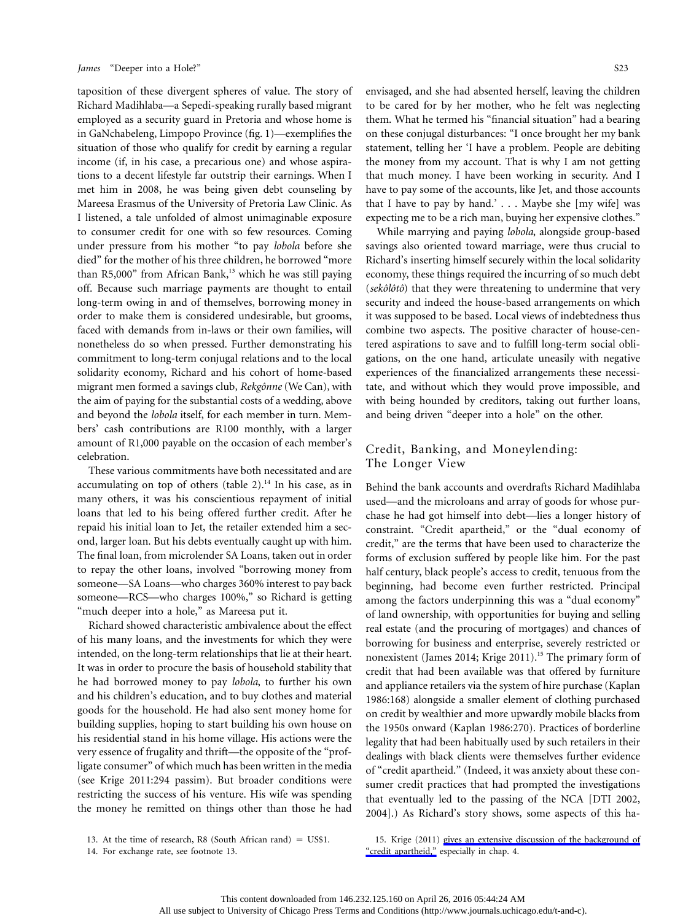taposition of these divergent spheres of value. The story of Richard Madihlaba—a Sepedi-speaking rurally based migrant employed as a security guard in Pretoria and whose home is in GaNchabeleng, Limpopo Province (fig. 1)—exemplifies the situation of those who qualify for credit by earning a regular income (if, in his case, a precarious one) and whose aspirations to a decent lifestyle far outstrip their earnings. When I met him in 2008, he was being given debt counseling by Mareesa Erasmus of the University of Pretoria Law Clinic. As I listened, a tale unfolded of almost unimaginable exposure to consumer credit for one with so few resources. Coming under pressure from his mother "to pay *lobola* before she died" for the mother of his three children, he borrowed "more than R5,000" from African Bank, $13$  which he was still paying off. Because such marriage payments are thought to entail long-term owing in and of themselves, borrowing money in order to make them is considered undesirable, but grooms, faced with demands from in-laws or their own families, will nonetheless do so when pressed. Further demonstrating his commitment to long-term conjugal relations and to the local solidarity economy, Richard and his cohort of home-based migrant men formed a savings club, *Rekgônne* (We Can), with the aim of paying for the substantial costs of a wedding, above and beyond the *lobola* itself, for each member in turn. Members' cash contributions are R100 monthly, with a larger amount of R1,000 payable on the occasion of each member's celebration.

These various commitments have both necessitated and are accumulating on top of others (table  $2$ ).<sup>14</sup> In his case, as in many others, it was his conscientious repayment of initial loans that led to his being offered further credit. After he repaid his initial loan to Jet, the retailer extended him a second, larger loan. But his debts eventually caught up with him. The final loan, from microlender SA Loans, taken out in order to repay the other loans, involved "borrowing money from someone—SA Loans—who charges 360% interest to pay back someone—RCS—who charges 100%," so Richard is getting "much deeper into a hole," as Mareesa put it.

Richard showed characteristic ambivalence about the effect of his many loans, and the investments for which they were intended, on the long-term relationships that lie at their heart. It was in order to procure the basis of household stability that he had borrowed money to pay *lobola*, to further his own and his children's education, and to buy clothes and material goods for the household. He had also sent money home for building supplies, hoping to start building his own house on his residential stand in his home village. His actions were the very essence of frugality and thrift—the opposite of the "profligate consumer" of which much has been written in the media (see Krige 2011:294 passim). But broader conditions were restricting the success of his venture. His wife was spending the money he remitted on things other than those he had

envisaged, and she had absented herself, leaving the children to be cared for by her mother, who he felt was neglecting them. What he termed his "financial situation" had a bearing on these conjugal disturbances: "I once brought her my bank statement, telling her 'I have a problem. People are debiting the money from my account. That is why I am not getting that much money. I have been working in security. And I have to pay some of the accounts, like Jet, and those accounts that I have to pay by hand.' . . . Maybe she [my wife] was expecting me to be a rich man, buying her expensive clothes."

While marrying and paying *lobola*, alongside group-based savings also oriented toward marriage, were thus crucial to Richard's inserting himself securely within the local solidarity economy, these things required the incurring of so much debt (*sekôlôtô*) that they were threatening to undermine that very security and indeed the house-based arrangements on which it was supposed to be based. Local views of indebtedness thus combine two aspects. The positive character of house-centered aspirations to save and to fulfill long-term social obligations, on the one hand, articulate uneasily with negative experiences of the financialized arrangements these necessitate, and without which they would prove impossible, and with being hounded by creditors, taking out further loans, and being driven "deeper into a hole" on the other.

# Credit, Banking, and Moneylending: The Longer View

Behind the bank accounts and overdrafts Richard Madihlaba used—and the microloans and array of goods for whose purchase he had got himself into debt—lies a longer history of constraint. "Credit apartheid," or the "dual economy of credit," are the terms that have been used to characterize the forms of exclusion suffered by people like him. For the past half century, black people's access to credit, tenuous from the beginning, had become even further restricted. Principal among the factors underpinning this was a "dual economy" of land ownership, with opportunities for buying and selling real estate (and the procuring of mortgages) and chances of borrowing for business and enterprise, severely restricted or nonexistent (James 2014; Krige 2011).<sup>15</sup> The primary form of credit that had been available was that offered by furniture and appliance retailers via the system of hire purchase (Kaplan 1986:168) alongside a smaller element of clothing purchased on credit by wealthier and more upwardly mobile blacks from the 1950s onward (Kaplan 1986:270). Practices of borderline legality that had been habitually used by such retailers in their dealings with black clients were themselves further evidence of "credit apartheid." (Indeed, it was anxiety about these consumer credit practices that had prompted the investigations that eventually led to the passing of the NCA [DTI 2002, 2004].) As Richard's story shows, some aspects of this ha-

14. For exchange rate, see footnote 13.

15. Krige (2011) [gives an extensive discussion of the background of](http://www.journals.uchicago.edu/action/showLinks?crossref=10.1080%2F03768350802318605) ["credit apartheid,"](http://www.journals.uchicago.edu/action/showLinks?crossref=10.1080%2F03768350802318605) especially in chap. 4.

<sup>13.</sup> At the time of research, R8 (South African rand)  $=$  US\$1.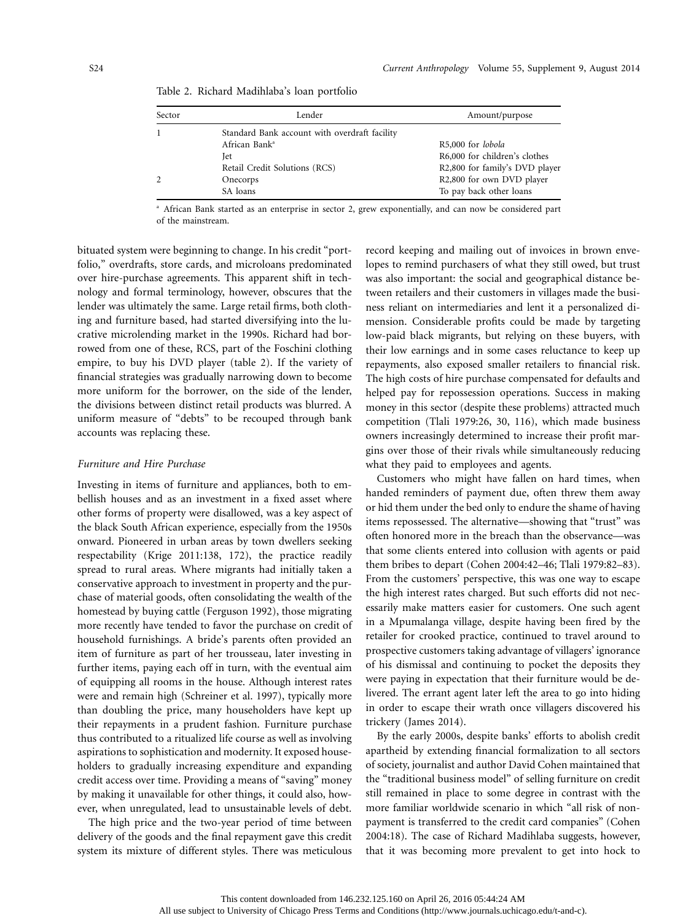| Sector | Lender                                        | Amount/purpose                 |
|--------|-----------------------------------------------|--------------------------------|
|        | Standard Bank account with overdraft facility |                                |
|        | African Bank <sup>a</sup>                     | R5,000 for lobola              |
|        | let                                           | R6,000 for children's clothes  |
|        | Retail Credit Solutions (RCS)                 | R2,800 for family's DVD player |
| 2      | Onecorps                                      | R2,800 for own DVD player      |
|        | SA loans                                      | To pay back other loans        |

Table 2. Richard Madihlaba's loan portfolio

<sup>a</sup> African Bank started as an enterprise in sector 2, grew exponentially, and can now be considered part of the mainstream.

bituated system were beginning to change. In his credit "portfolio," overdrafts, store cards, and microloans predominated over hire-purchase agreements. This apparent shift in technology and formal terminology, however, obscures that the lender was ultimately the same. Large retail firms, both clothing and furniture based, had started diversifying into the lucrative microlending market in the 1990s. Richard had borrowed from one of these, RCS, part of the Foschini clothing empire, to buy his DVD player (table 2). If the variety of financial strategies was gradually narrowing down to become more uniform for the borrower, on the side of the lender, the divisions between distinct retail products was blurred. A uniform measure of "debts" to be recouped through bank accounts was replacing these.

#### *Furniture and Hire Purchase*

Investing in items of furniture and appliances, both to embellish houses and as an investment in a fixed asset where other forms of property were disallowed, was a key aspect of the black South African experience, especially from the 1950s onward. Pioneered in urban areas by town dwellers seeking respectability (Krige 2011:138, 172), the practice readily spread to rural areas. Where migrants had initially taken a conservative approach to investment in property and the purchase of material goods, often consolidating the wealth of the homestead by buying cattle (Ferguson 1992), those migrating more recently have tended to favor the purchase on credit of household furnishings. A bride's parents often provided an item of furniture as part of her trousseau, later investing in further items, paying each off in turn, with the eventual aim of equipping all rooms in the house. Although interest rates were and remain high (Schreiner et al. 1997), typically more than doubling the price, many householders have kept up their repayments in a prudent fashion. Furniture purchase thus contributed to a ritualized life course as well as involving aspirations to sophistication and modernity. It exposed householders to gradually increasing expenditure and expanding credit access over time. Providing a means of "saving" money by making it unavailable for other things, it could also, however, when unregulated, lead to unsustainable levels of debt.

The high price and the two-year period of time between delivery of the goods and the final repayment gave this credit system its mixture of different styles. There was meticulous

record keeping and mailing out of invoices in brown envelopes to remind purchasers of what they still owed, but trust was also important: the social and geographical distance between retailers and their customers in villages made the business reliant on intermediaries and lent it a personalized dimension. Considerable profits could be made by targeting low-paid black migrants, but relying on these buyers, with their low earnings and in some cases reluctance to keep up repayments, also exposed smaller retailers to financial risk. The high costs of hire purchase compensated for defaults and helped pay for repossession operations. Success in making money in this sector (despite these problems) attracted much competition (Tlali 1979:26, 30, 116), which made business owners increasingly determined to increase their profit margins over those of their rivals while simultaneously reducing what they paid to employees and agents.

Customers who might have fallen on hard times, when handed reminders of payment due, often threw them away or hid them under the bed only to endure the shame of having items repossessed. The alternative—showing that "trust" was often honored more in the breach than the observance—was that some clients entered into collusion with agents or paid them bribes to depart (Cohen 2004:42–46; Tlali 1979:82–83). From the customers' perspective, this was one way to escape the high interest rates charged. But such efforts did not necessarily make matters easier for customers. One such agent in a Mpumalanga village, despite having been fired by the retailer for crooked practice, continued to travel around to prospective customers taking advantage of villagers' ignorance of his dismissal and continuing to pocket the deposits they were paying in expectation that their furniture would be delivered. The errant agent later left the area to go into hiding in order to escape their wrath once villagers discovered his trickery (James 2014).

By the early 2000s, despite banks' efforts to abolish credit apartheid by extending financial formalization to all sectors of society, journalist and author David Cohen maintained that the "traditional business model" of selling furniture on credit still remained in place to some degree in contrast with the more familiar worldwide scenario in which "all risk of nonpayment is transferred to the credit card companies" (Cohen 2004:18). The case of Richard Madihlaba suggests, however, that it was becoming more prevalent to get into hock to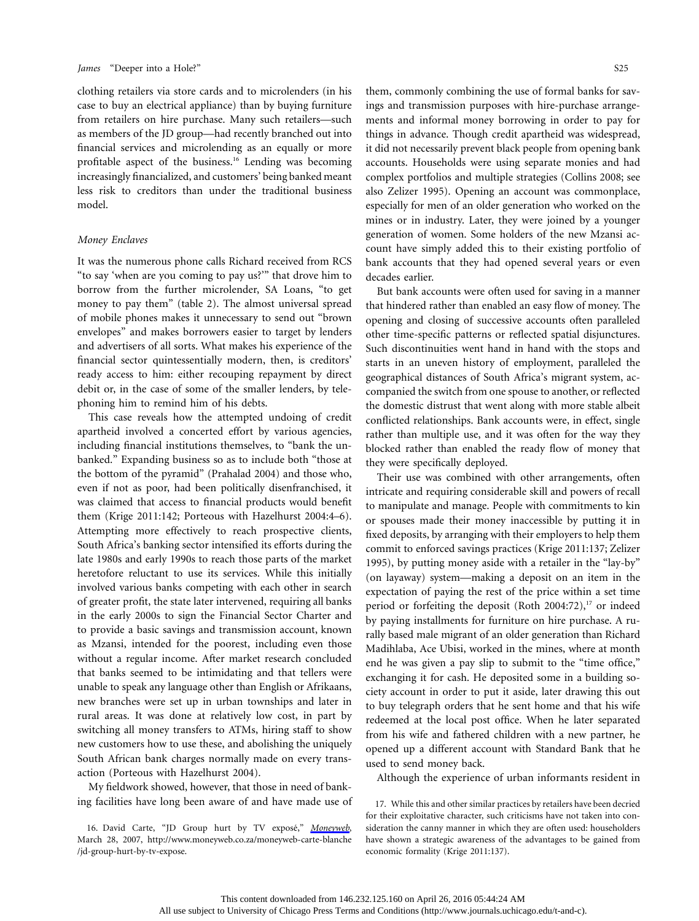clothing retailers via store cards and to microlenders (in his case to buy an electrical appliance) than by buying furniture from retailers on hire purchase. Many such retailers—such as members of the JD group—had recently branched out into financial services and microlending as an equally or more profitable aspect of the business.16 Lending was becoming increasingly financialized, and customers' being banked meant less risk to creditors than under the traditional business model.

#### *Money Enclaves*

It was the numerous phone calls Richard received from RCS "to say 'when are you coming to pay us?'" that drove him to borrow from the further microlender, SA Loans, "to get money to pay them" (table 2). The almost universal spread of mobile phones makes it unnecessary to send out "brown envelopes" and makes borrowers easier to target by lenders and advertisers of all sorts. What makes his experience of the financial sector quintessentially modern, then, is creditors' ready access to him: either recouping repayment by direct debit or, in the case of some of the smaller lenders, by telephoning him to remind him of his debts.

This case reveals how the attempted undoing of credit apartheid involved a concerted effort by various agencies, including financial institutions themselves, to "bank the unbanked." Expanding business so as to include both "those at the bottom of the pyramid" (Prahalad 2004) and those who, even if not as poor, had been politically disenfranchised, it was claimed that access to financial products would benefit them (Krige 2011:142; Porteous with Hazelhurst 2004:4–6). Attempting more effectively to reach prospective clients, South Africa's banking sector intensified its efforts during the late 1980s and early 1990s to reach those parts of the market heretofore reluctant to use its services. While this initially involved various banks competing with each other in search of greater profit, the state later intervened, requiring all banks in the early 2000s to sign the Financial Sector Charter and to provide a basic savings and transmission account, known as Mzansi, intended for the poorest, including even those without a regular income. After market research concluded that banks seemed to be intimidating and that tellers were unable to speak any language other than English or Afrikaans, new branches were set up in urban townships and later in rural areas. It was done at relatively low cost, in part by switching all money transfers to ATMs, hiring staff to show new customers how to use these, and abolishing the uniquely South African bank charges normally made on every transaction (Porteous with Hazelhurst 2004).

My fieldwork showed, however, that those in need of banking facilities have long been aware of and have made use of them, commonly combining the use of formal banks for savings and transmission purposes with hire-purchase arrangements and informal money borrowing in order to pay for things in advance. Though credit apartheid was widespread, it did not necessarily prevent black people from opening bank accounts. Households were using separate monies and had complex portfolios and multiple strategies (Collins 2008; see also Zelizer 1995). Opening an account was commonplace, especially for men of an older generation who worked on the mines or in industry. Later, they were joined by a younger generation of women. Some holders of the new Mzansi account have simply added this to their existing portfolio of bank accounts that they had opened several years or even decades earlier.

But bank accounts were often used for saving in a manner that hindered rather than enabled an easy flow of money. The opening and closing of successive accounts often paralleled other time-specific patterns or reflected spatial disjunctures. Such discontinuities went hand in hand with the stops and starts in an uneven history of employment, paralleled the geographical distances of South Africa's migrant system, accompanied the switch from one spouse to another, or reflected the domestic distrust that went along with more stable albeit conflicted relationships. Bank accounts were, in effect, single rather than multiple use, and it was often for the way they blocked rather than enabled the ready flow of money that they were specifically deployed.

Their use was combined with other arrangements, often intricate and requiring considerable skill and powers of recall to manipulate and manage. People with commitments to kin or spouses made their money inaccessible by putting it in fixed deposits, by arranging with their employers to help them commit to enforced savings practices (Krige 2011:137; Zelizer 1995), by putting money aside with a retailer in the "lay-by" (on layaway) system—making a deposit on an item in the expectation of paying the rest of the price within a set time period or forfeiting the deposit (Roth 2004:72), $17$  or indeed by paying installments for furniture on hire purchase. A rurally based male migrant of an older generation than Richard Madihlaba, Ace Ubisi, worked in the mines, where at month end he was given a pay slip to submit to the "time office," exchanging it for cash. He deposited some in a building society account in order to put it aside, later drawing this out to buy telegraph orders that he sent home and that his wife redeemed at the local post office. When he later separated from his wife and fathered children with a new partner, he opened up a different account with Standard Bank that he used to send money back.

Although the experience of urban informants resident in

17. While this and other similar practices by retailers have been decried for their exploitative character, such criticisms have not taken into consideration the canny manner in which they are often used: householders have shown a strategic awareness of the advantages to be gained from economic formality (Krige 2011:137).

<sup>16.</sup> David Carte, "JD Group hurt by TV exposé," [Moneyweb](http://www.journals.uchicago.edu/action/showLinks?crossref=10.1111%2Fj.1467-6443.2005.00261.x), March 28, 2007, [http://www.moneyweb.co.za/moneyweb-carte-blanche](http://www.moneyweb.co.za/moneyweb-carte-blanche/jd-group-hurt-by-tv-expose) [/jd-group-hurt-by-tv-expose.](http://www.moneyweb.co.za/moneyweb-carte-blanche/jd-group-hurt-by-tv-expose)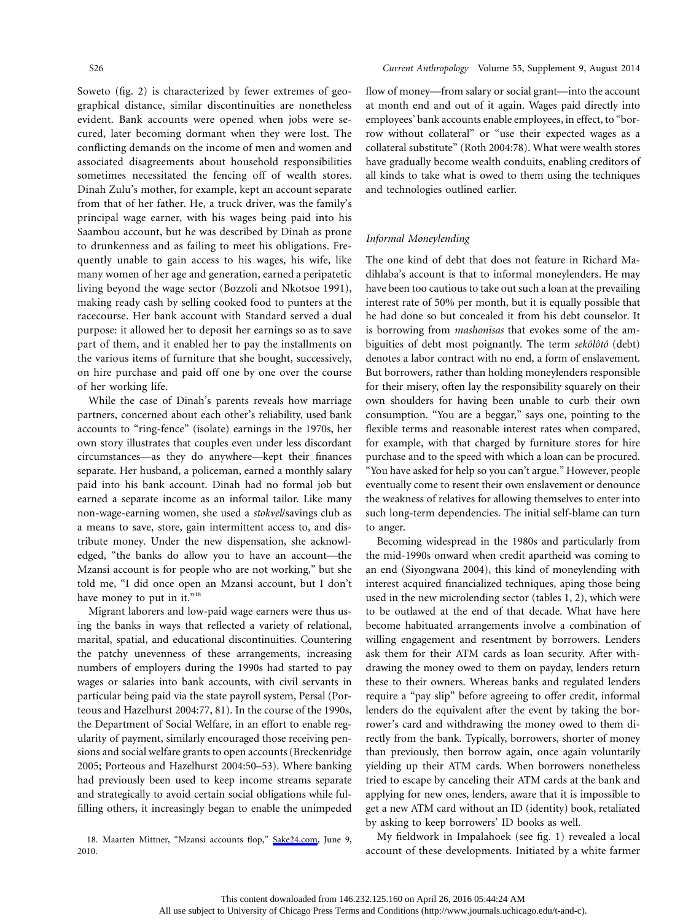Soweto (fig. 2) is characterized by fewer extremes of geographical distance, similar discontinuities are nonetheless evident. Bank accounts were opened when jobs were secured, later becoming dormant when they were lost. The conflicting demands on the income of men and women and associated disagreements about household responsibilities sometimes necessitated the fencing off of wealth stores. Dinah Zulu's mother, for example, kept an account separate from that of her father. He, a truck driver, was the family's principal wage earner, with his wages being paid into his Saambou account, but he was described by Dinah as prone to drunkenness and as failing to meet his obligations. Frequently unable to gain access to his wages, his wife, like many women of her age and generation, earned a peripatetic living beyond the wage sector (Bozzoli and Nkotsoe 1991), making ready cash by selling cooked food to punters at the racecourse. Her bank account with Standard served a dual purpose: it allowed her to deposit her earnings so as to save part of them, and it enabled her to pay the installments on the various items of furniture that she bought, successively, on hire purchase and paid off one by one over the course of her working life.

While the case of Dinah's parents reveals how marriage partners, concerned about each other's reliability, used bank accounts to "ring-fence" (isolate) earnings in the 1970s, her own story illustrates that couples even under less discordant circumstances—as they do anywhere—kept their finances separate. Her husband, a policeman, earned a monthly salary paid into his bank account. Dinah had no formal job but earned a separate income as an informal tailor. Like many non-wage-earning women, she used a *stokvel*/savings club as a means to save, store, gain intermittent access to, and distribute money. Under the new dispensation, she acknowledged, "the banks do allow you to have an account—the Mzansi account is for people who are not working," but she told me, "I did once open an Mzansi account, but I don't have money to put in it."<sup>18</sup>

Migrant laborers and low-paid wage earners were thus using the banks in ways that reflected a variety of relational, marital, spatial, and educational discontinuities. Countering the patchy unevenness of these arrangements, increasing numbers of employers during the 1990s had started to pay wages or salaries into bank accounts, with civil servants in particular being paid via the state payroll system, Persal (Porteous and Hazelhurst 2004:77, 81). In the course of the 1990s, the Department of Social Welfare, in an effort to enable regularity of payment, similarly encouraged those receiving pensions and social welfare grants to open accounts (Breckenridge 2005; Porteous and Hazelhurst 2004:50–53). Where banking had previously been used to keep income streams separate and strategically to avoid certain social obligations while fulfilling others, it increasingly began to enable the unimpeded

flow of money—from salary or social grant—into the account at month end and out of it again. Wages paid directly into employees' bank accounts enable employees, in effect, to "borrow without collateral" or "use their expected wages as a collateral substitute" (Roth 2004:78). What were wealth stores have gradually become wealth conduits, enabling creditors of all kinds to take what is owed to them using the techniques and technologies outlined earlier.

#### *Informal Moneylending*

The one kind of debt that does not feature in Richard Madihlaba's account is that to informal moneylenders. He may have been too cautious to take out such a loan at the prevailing interest rate of 50% per month, but it is equally possible that he had done so but concealed it from his debt counselor. It is borrowing from *mashonisas* that evokes some of the ambiguities of debt most poignantly. The term *sekôlôtô* (debt) denotes a labor contract with no end, a form of enslavement. But borrowers, rather than holding moneylenders responsible for their misery, often lay the responsibility squarely on their own shoulders for having been unable to curb their own consumption. "You are a beggar," says one, pointing to the flexible terms and reasonable interest rates when compared, for example, with that charged by furniture stores for hire purchase and to the speed with which a loan can be procured. "You have asked for help so you can't argue." However, people eventually come to resent their own enslavement or denounce the weakness of relatives for allowing themselves to enter into such long-term dependencies. The initial self-blame can turn to anger.

Becoming widespread in the 1980s and particularly from the mid-1990s onward when credit apartheid was coming to an end (Siyongwana 2004), this kind of moneylending with interest acquired financialized techniques, aping those being used in the new microlending sector (tables 1, 2), which were to be outlawed at the end of that decade. What have here become habituated arrangements involve a combination of willing engagement and resentment by borrowers. Lenders ask them for their ATM cards as loan security. After withdrawing the money owed to them on payday, lenders return these to their owners. Whereas banks and regulated lenders require a "pay slip" before agreeing to offer credit, informal lenders do the equivalent after the event by taking the borrower's card and withdrawing the money owed to them directly from the bank. Typically, borrowers, shorter of money than previously, then borrow again, once again voluntarily yielding up their ATM cards. When borrowers nonetheless tried to escape by canceling their ATM cards at the bank and applying for new ones, lenders, aware that it is impossible to get a new ATM card without an ID (identity) book, retaliated by asking to keep borrowers' ID books as well.

18. Maarten Mittner, "Mzansi accounts flop," [Sake24.com,](http://www.journals.uchicago.edu/action/showLinks?crossref=10.1080%2F0376835042000325732) June 9, 2010.

My fieldwork in Impalahoek (see fig. 1) revealed a local account of these developments. Initiated by a white farmer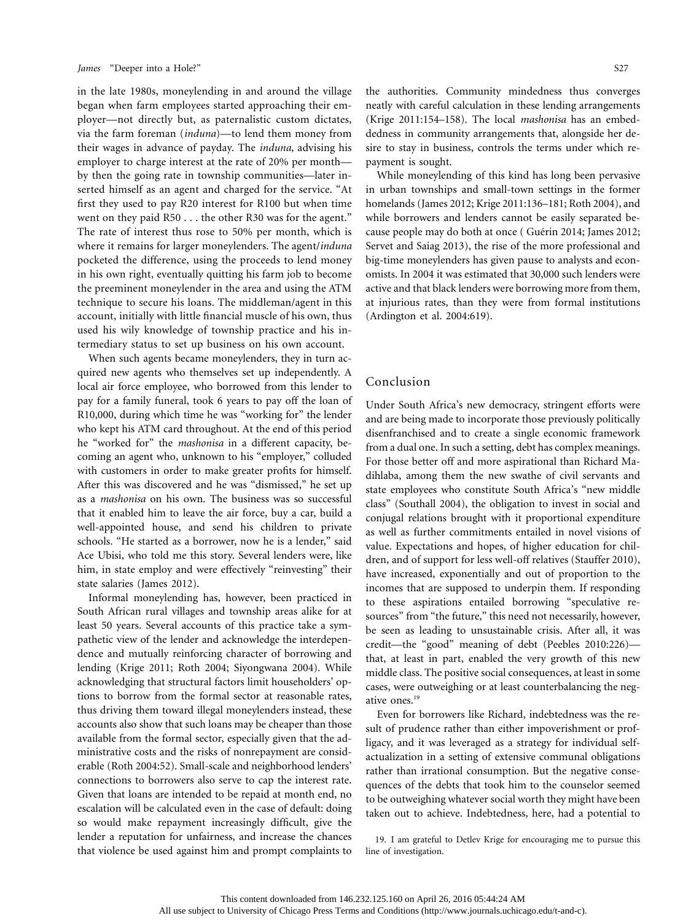in the late 1980s, moneylending in and around the village began when farm employees started approaching their employer—not directly but, as paternalistic custom dictates, via the farm foreman (*induna*)—to lend them money from their wages in advance of payday. The *induna*, advising his employer to charge interest at the rate of 20% per month by then the going rate in township communities—later inserted himself as an agent and charged for the service. "At first they used to pay R20 interest for R100 but when time went on they paid R50 . . . the other R30 was for the agent." The rate of interest thus rose to 50% per month, which is where it remains for larger moneylenders. The agent/*induna* pocketed the difference, using the proceeds to lend money in his own right, eventually quitting his farm job to become the preeminent moneylender in the area and using the ATM technique to secure his loans. The middleman/agent in this account, initially with little financial muscle of his own, thus used his wily knowledge of township practice and his intermediary status to set up business on his own account.

When such agents became moneylenders, they in turn acquired new agents who themselves set up independently. A local air force employee, who borrowed from this lender to pay for a family funeral, took 6 years to pay off the loan of R10,000, during which time he was "working for" the lender who kept his ATM card throughout. At the end of this period he "worked for" the *mashonisa* in a different capacity, becoming an agent who, unknown to his "employer," colluded with customers in order to make greater profits for himself. After this was discovered and he was "dismissed," he set up as a *mashonisa* on his own. The business was so successful that it enabled him to leave the air force, buy a car, build a well-appointed house, and send his children to private schools. "He started as a borrower, now he is a lender," said Ace Ubisi, who told me this story. Several lenders were, like him, in state employ and were effectively "reinvesting" their state salaries (James 2012).

Informal moneylending has, however, been practiced in South African rural villages and township areas alike for at least 50 years. Several accounts of this practice take a sympathetic view of the lender and acknowledge the interdependence and mutually reinforcing character of borrowing and lending (Krige 2011; Roth 2004; Siyongwana 2004). While acknowledging that structural factors limit householders' options to borrow from the formal sector at reasonable rates, thus driving them toward illegal moneylenders instead, these accounts also show that such loans may be cheaper than those available from the formal sector, especially given that the administrative costs and the risks of nonrepayment are considerable (Roth 2004:52). Small-scale and neighborhood lenders' connections to borrowers also serve to cap the interest rate. Given that loans are intended to be repaid at month end, no escalation will be calculated even in the case of default: doing so would make repayment increasingly difficult, give the lender a reputation for unfairness, and increase the chances that violence be used against him and prompt complaints to

the authorities. Community mindedness thus converges neatly with careful calculation in these lending arrangements (Krige 2011:154–158). The local *mashonisa* has an embeddedness in community arrangements that, alongside her desire to stay in business, controls the terms under which repayment is sought.

While moneylending of this kind has long been pervasive in urban townships and small-town settings in the former homelands (James 2012; Krige 2011:136–181; Roth 2004), and while borrowers and lenders cannot be easily separated because people may do both at once ( Guérin 2014; James 2012; Servet and Saiag 2013), the rise of the more professional and big-time moneylenders has given pause to analysts and economists. In 2004 it was estimated that 30,000 such lenders were active and that black lenders were borrowing more from them, at injurious rates, than they were from formal institutions (Ardington et al. 2004:619).

## Conclusion

Under South Africa's new democracy, stringent efforts were and are being made to incorporate those previously politically disenfranchised and to create a single economic framework from a dual one. In such a setting, debt has complex meanings. For those better off and more aspirational than Richard Madihlaba, among them the new swathe of civil servants and state employees who constitute South Africa's "new middle class" (Southall 2004), the obligation to invest in social and conjugal relations brought with it proportional expenditure as well as further commitments entailed in novel visions of value. Expectations and hopes, of higher education for children, and of support for less well-off relatives (Stauffer 2010), have increased, exponentially and out of proportion to the incomes that are supposed to underpin them. If responding to these aspirations entailed borrowing "speculative resources" from "the future," this need not necessarily, however, be seen as leading to unsustainable crisis. After all, it was credit—the "good" meaning of debt (Peebles 2010:226) that, at least in part, enabled the very growth of this new middle class. The positive social consequences, at least in some cases, were outweighing or at least counterbalancing the negative ones.<sup>19</sup>

Even for borrowers like Richard, indebtedness was the result of prudence rather than either impoverishment or profligacy, and it was leveraged as a strategy for individual selfactualization in a setting of extensive communal obligations rather than irrational consumption. But the negative consequences of the debts that took him to the counselor seemed to be outweighing whatever social worth they might have been taken out to achieve. Indebtedness, here, had a potential to

19. I am grateful to Detlev Krige for encouraging me to pursue this line of investigation.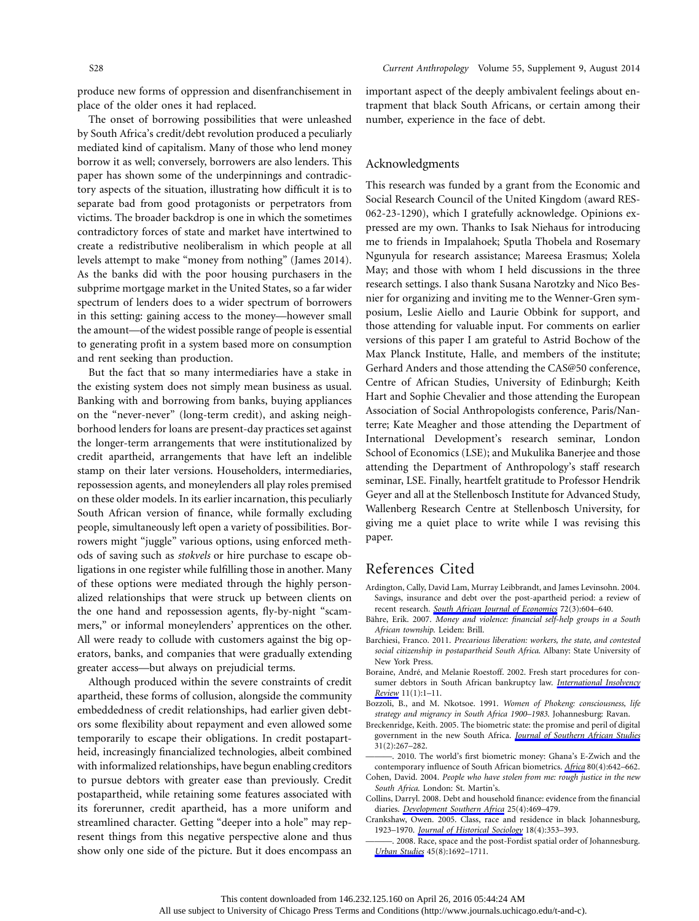produce new forms of oppression and disenfranchisement in place of the older ones it had replaced.

The onset of borrowing possibilities that were unleashed by South Africa's credit/debt revolution produced a peculiarly mediated kind of capitalism. Many of those who lend money borrow it as well; conversely, borrowers are also lenders. This paper has shown some of the underpinnings and contradictory aspects of the situation, illustrating how difficult it is to separate bad from good protagonists or perpetrators from victims. The broader backdrop is one in which the sometimes contradictory forces of state and market have intertwined to create a redistributive neoliberalism in which people at all levels attempt to make "money from nothing" (James 2014). As the banks did with the poor housing purchasers in the subprime mortgage market in the United States, so a far wider spectrum of lenders does to a wider spectrum of borrowers in this setting: gaining access to the money—however small the amount—of the widest possible range of people is essential to generating profit in a system based more on consumption and rent seeking than production.

But the fact that so many intermediaries have a stake in the existing system does not simply mean business as usual. Banking with and borrowing from banks, buying appliances on the "never-never" (long-term credit), and asking neighborhood lenders for loans are present-day practices set against the longer-term arrangements that were institutionalized by credit apartheid, arrangements that have left an indelible stamp on their later versions. Householders, intermediaries, repossession agents, and moneylenders all play roles premised on these older models. In its earlier incarnation, this peculiarly South African version of finance, while formally excluding people, simultaneously left open a variety of possibilities. Borrowers might "juggle" various options, using enforced methods of saving such as *stokvels* or hire purchase to escape obligations in one register while fulfilling those in another. Many of these options were mediated through the highly personalized relationships that were struck up between clients on the one hand and repossession agents, fly-by-night "scammers," or informal moneylenders' apprentices on the other. All were ready to collude with customers against the big operators, banks, and companies that were gradually extending greater access—but always on prejudicial terms.

Although produced within the severe constraints of credit apartheid, these forms of collusion, alongside the community embeddedness of credit relationships, had earlier given debtors some flexibility about repayment and even allowed some temporarily to escape their obligations. In credit postapartheid, increasingly financialized technologies, albeit combined with informalized relationships, have begun enabling creditors to pursue debtors with greater ease than previously. Credit postapartheid, while retaining some features associated with its forerunner, credit apartheid, has a more uniform and streamlined character. Getting "deeper into a hole" may represent things from this negative perspective alone and thus show only one side of the picture. But it does encompass an

important aspect of the deeply ambivalent feelings about entrapment that black South Africans, or certain among their number, experience in the face of debt.

#### Acknowledgments

This research was funded by a grant from the Economic and Social Research Council of the United Kingdom (award RES-062-23-1290), which I gratefully acknowledge. Opinions expressed are my own. Thanks to Isak Niehaus for introducing me to friends in Impalahoek; Sputla Thobela and Rosemary Ngunyula for research assistance; Mareesa Erasmus; Xolela May; and those with whom I held discussions in the three research settings. I also thank Susana Narotzky and Nico Besnier for organizing and inviting me to the Wenner-Gren symposium, Leslie Aiello and Laurie Obbink for support, and those attending for valuable input. For comments on earlier versions of this paper I am grateful to Astrid Bochow of the Max Planck Institute, Halle, and members of the institute; Gerhard Anders and those attending the CAS@50 conference, Centre of African Studies, University of Edinburgh; Keith Hart and Sophie Chevalier and those attending the European Association of Social Anthropologists conference, Paris/Nanterre; Kate Meagher and those attending the Department of International Development's research seminar, London School of Economics (LSE); and Mukulika Banerjee and those attending the Department of Anthropology's staff research seminar, LSE. Finally, heartfelt gratitude to Professor Hendrik Geyer and all at the Stellenbosch Institute for Advanced Study, Wallenberg Research Centre at Stellenbosch University, for giving me a quiet place to write while I was revising this paper.

# References Cited

- Ardington, Cally, David Lam, Murray Leibbrandt, and James Levinsohn. 2004. Savings, insurance and debt over the post-apartheid period: a review of recent research. *[South African Journal of Economics](http://www.journals.uchicago.edu/action/showLinks?crossref=10.1111%2Fj.1813-6982.2004.tb00128.x)* 72(3):604–640.
- Bähre, Erik. 2007. Money and violence: financial self-help groups in a South *African township*. Leiden: Brill.
- Barchiesi, Franco. 2011. *Precarious liberation: workers, the state, and contested social citizenship in postapartheid South Africa*. Albany: State University of New York Press.
- Boraine, André, and Melanie Roestoff. 2002. Fresh start procedures for consumer debtors in South African bankruptcy law. *[International Insolvency](http://www.journals.uchicago.edu/action/showLinks?crossref=10.1002%2Fiir.95) [Review](http://www.journals.uchicago.edu/action/showLinks?crossref=10.1002%2Fiir.95)* 11(1):1–11.
- Bozzoli, B., and M. Nkotsoe. 1991. *Women of Phokeng: consciousness, life strategy and migrancy in South Africa 1900–1983*. Johannesburg: Ravan.
- Breckenridge, Keith. 2005. The biometric state: the promise and peril of digital government in the new South Africa. *[Journal of Southern African Studies](http://www.journals.uchicago.edu/action/showLinks?crossref=10.1080%2F03057070500109458)* 31(2):267–282.
- 2010. The world's first biometric money: Ghana's E-Zwich and the contemporary influence of South African biometrics. *[Africa](http://www.journals.uchicago.edu/action/showLinks?crossref=10.3366%2Fafr.2010.0406)* 80(4):642–662.
- Cohen, David. 2004. *People who have stolen from me: rough justice in the new South Africa*. London: St. Martin's.
- Collins, Darryl. 2008. Debt and household finance: evidence from the financial diaries. *[Development Southern Africa](http://www.journals.uchicago.edu/action/showLinks?crossref=10.1080%2F03768350802318605)* 25(4):469–479.
- Crankshaw, Owen. 2005. Class, race and residence in black Johannesburg, 1923–1970. *[Journal of Historical Sociology](http://www.journals.uchicago.edu/action/showLinks?crossref=10.1111%2Fj.1467-6443.2005.00261.x)* 18(4):353–393.
- -, 2008. Race, space and the post-Fordist spatial order of Johannesburg. *[Urban Studies](http://www.journals.uchicago.edu/action/showLinks?crossref=10.1177%2F0042098008091497)* 45(8):1692–1711.